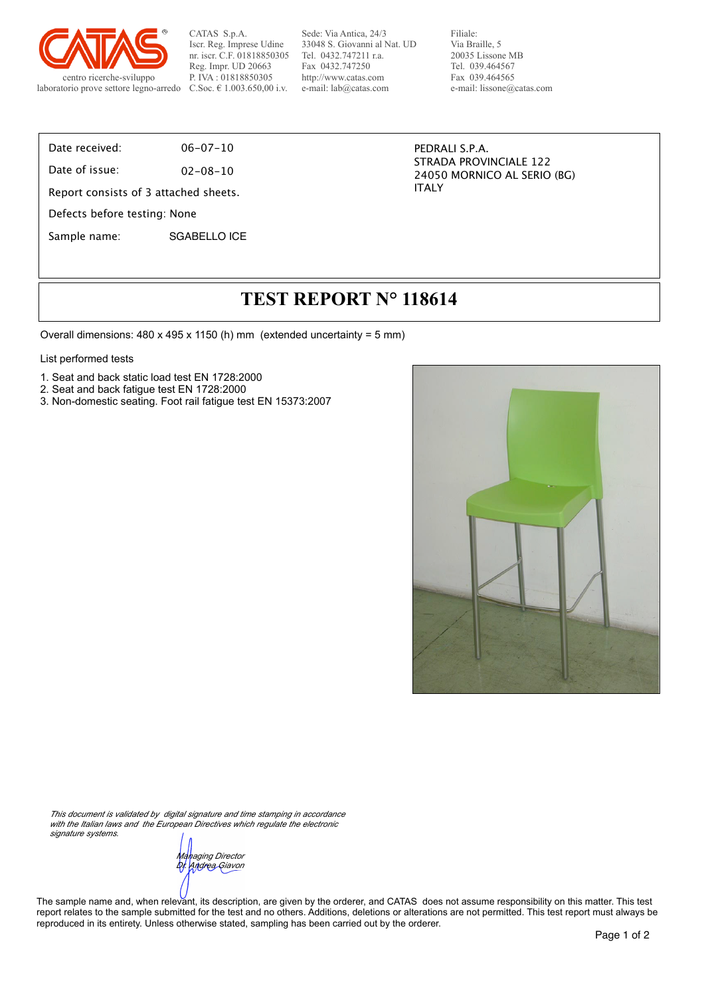

CATAS S.p.A. Iscr. Reg. Imprese Udine nr. iscr. C.F. 01818850305 Reg. Impr. UD 20663 P. IVA : 01818850305 C.Soc. € 1.003.650,00 i.v.

Sede: Via Antica, 24/3 33048 S. Giovanni al Nat. UD Tel. 0432.747211 r.a. Fax 0432.747250 http://www.catas.com e-mail: lab@catas.com

Filiale: Via Braille, 5 20035 Lissone MB Tel. 039.464567 Fax 039.464565 e-mail: lissone@catas.com

Date received: 06-07-10

Date of issue: 02-08-10

Report consists of 3 attached sheets.

Defects before testing: None

Sample name: SGABELLO ICE

PEDRALI S.P.A. STRADA PROVINCIALE 122 24050 MORNICO AL SERIO (BG) ITALY

## **TEST REPORT N° 118614**

Overall dimensions: 480 x 495 x 1150 (h) mm (extended uncertainty = 5 mm)

#### List performed tests

- 1. Seat and back static load test EN 1728:2000
- 2. Seat and back fatigue test EN 1728:2000
- 3. Non-domestic seating. Foot rail fatigue test EN 15373:2007



*This document is validated by digital signature and time stamping in accordance*  with the Italian laws and the European Directives which regulate the electronic *signature systems.*

*Managing Director Dr. Andrea Giavon*

The sample name and, when relevant, its description, are given by the orderer, and CATAS does not assume responsibility on this matter. This test report relates to the sample submitted for the test and no others. Additions, deletions or alterations are not permitted. This test report must always be reproduced in its entirety. Unless otherwise stated, sampling has been carried out by the orderer.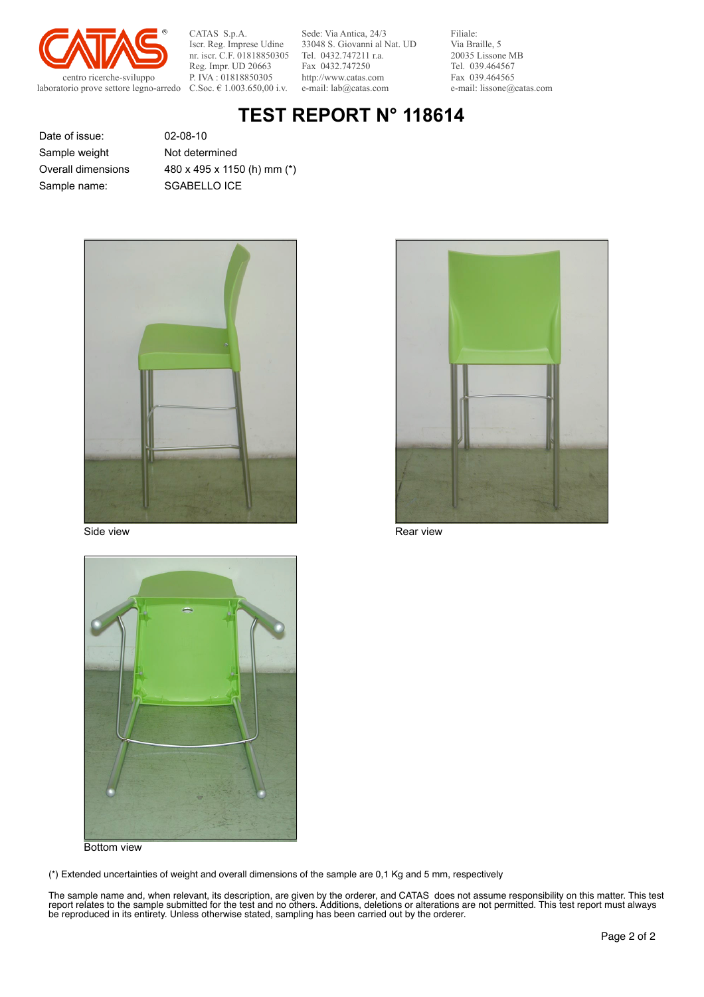

CATAS S.p.A. Iscr. Reg. Imprese Udine nr. iscr. C.F. 01818850305 Reg. Impr. UD 20663 P. IVA : 01818850305 C.Soc. € 1.003.650,00 i.v.

Sede: Via Antica, 24/3 33048 S. Giovanni al Nat. UD Tel. 0432.747211 r.a. Fax 0432.747250 http://www.catas.com e-mail: lab@catas.com

Filiale: Via Braille, 5 20035 Lissone MB Tel. 039.464567 Fax 039.464565 e-mail: lissone@catas.com

# **TEST REPORT N° 118614**

Date of issue: 02-08-10 Sample name: SGABELLO ICE Sample weight Overall dimensions

Not determined 480 x 495 x 1150 (h) mm (\*)





Side view **Rear view** Rear view Rear view Rear view



Bottom view

(\*) Extended uncertainties of weight and overall dimensions of the sample are 0,1 Kg and 5 mm, respectively

The sample name and, when relevant, its description, are given by the orderer, and CATAS does not assume responsibility on this matter. This test report relates to the sample submitted for the test and no others. Additions, deletions or alterations are not permitted. This test report must always be reproduced in its entirety. Unless otherwise stated, sampling has been carried out by the orderer.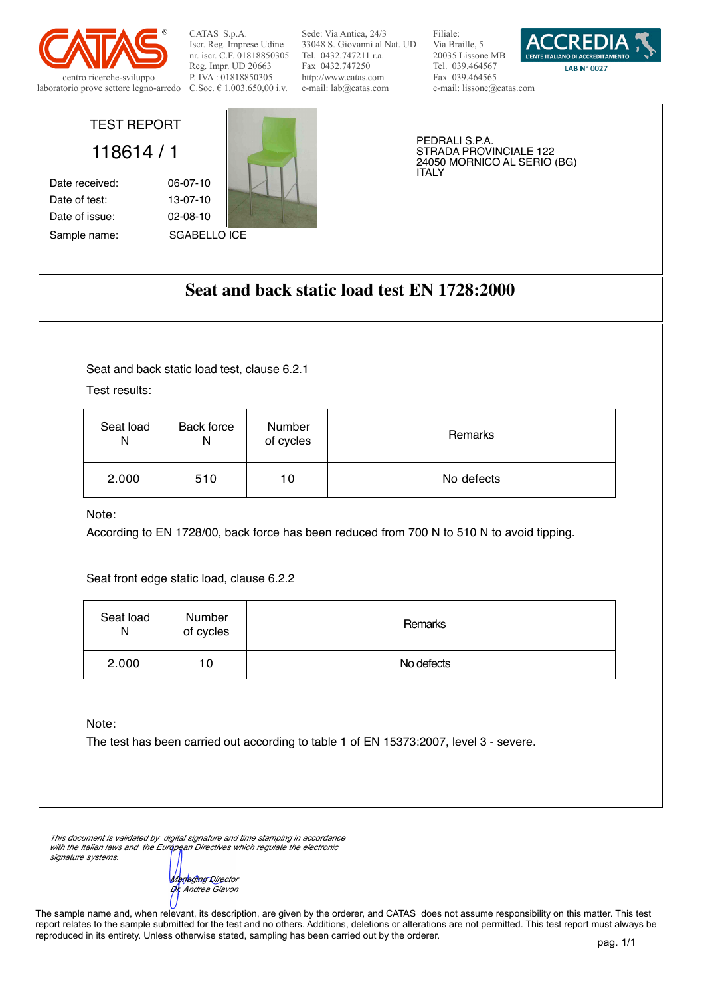

TEST REPORT

118614 / 1

Date received: 06-07-10 Date of test: 13-07-10 Date of issue: 02-08-10

Sample name: SGABELLO ICE

CATAS S.p.A. Iscr. Reg. Imprese Udine nr. iscr. C.F. 01818850305 Reg. Impr. UD 20663 P. IVA : 01818850305 C.Soc. € 1.003.650,00 i.v.

Sede: Via Antica, 24/3 33048 S. Giovanni al Nat. UD Tel. 0432.747211 r.a. Fax 0432.747250 http://www.catas.com e-mail: lab@catas.com

Filiale: Via Braille, 5 20035 Lissone MB Tel. 039.464567 Fax 039.464565 e-mail: lissone@catas.com



PEDRALI S.P.A. STRADA PROVINCIALE 122 24050 MORNICO AL SERIO (BG) ITALY

## **Seat and back static load test EN 1728:2000**

Seat and back static load test, clause 6.2.1

Test results:

| Seat load | Back force | Number    | Remarks    |
|-----------|------------|-----------|------------|
| N         | Ν          | of cycles |            |
| 2.000     | 510        | 10        | No defects |

Note:

According to EN 1728/00, back force has been reduced from 700 N to 510 N to avoid tipping.

Seat front edge static load, clause 6.2.2

| Seat load<br>N | <b>Number</b><br>of cycles | <b>Remarks</b> |
|----------------|----------------------------|----------------|
| 2.000          | 10                         | No defects     |

Note:

The test has been carried out according to table 1 of EN 15373:2007, level 3 - severe.

*This document is validated by digital signature and time stamping in accordance with the Italian laws and the European Directives which regulate the electronic signature systems.*

*Managing Director Dr. Andrea Giavon*

The sample name and, when relevant, its description, are given by the orderer, and CATAS does not assume responsibility on this matter. This test report relates to the sample submitted for the test and no others. Additions, deletions or alterations are not permitted. This test report must always be reproduced in its entirety. Unless otherwise stated, sampling has been carried out by the orderer.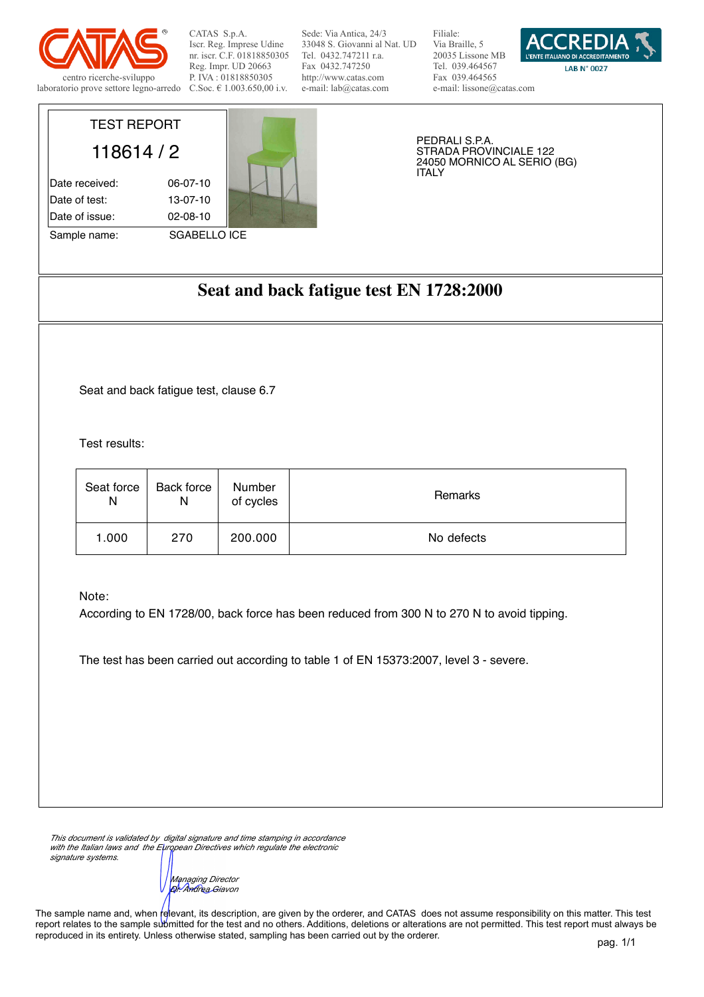

TEST REPORT

118614 / 2

Date received: 06-07-10 Date of test: 13-07-10 Date of issue: 02-08-10

Sample name: SGABELLO ICE

CATAS S.p.A. Iscr. Reg. Imprese Udine nr. iscr. C.F. 01818850305 Reg. Impr. UD 20663 P. IVA : 01818850305 C.Soc. € 1.003.650,00 i.v.

Sede: Via Antica, 24/3 33048 S. Giovanni al Nat. UD Tel. 0432.747211 r.a. Fax 0432.747250 http://www.catas.com e-mail: lab@catas.com

Filiale: Via Braille, 5 20035 Lissone MB Tel. 039.464567 Fax 039.464565 e-mail: lissone@catas.com



PEDRALI S.P.A. STRADA PROVINCIALE 122 24050 MORNICO AL SERIO (BG) ITALY

# **Seat and back fatigue test EN 1728:2000**

Seat and back fatigue test, clause 6.7

Test results:

| Seat force | Back force | Number    | Remarks    |
|------------|------------|-----------|------------|
| N          | N          | of cycles |            |
| 1.000      | 270        | 200.000   | No defects |

Note:

According to EN 1728/00, back force has been reduced from 300 N to 270 N to avoid tipping.

The test has been carried out according to table 1 of EN 15373:2007, level 3 - severe.

*This document is validated by digital signature and time stamping in accordance with the Italian laws and the European Directives which regulate the electronic signature systems.*

*Managing Director Dr. Andrea Giavon*

The sample name and, when relevant, its description, are given by the orderer, and CATAS does not assume responsibility on this matter. This test report relates to the sample submitted for the test and no others. Additions, deletions or alterations are not permitted. This test report must always be reproduced in its entirety. Unless otherwise stated, sampling has been carried out by the orderer.